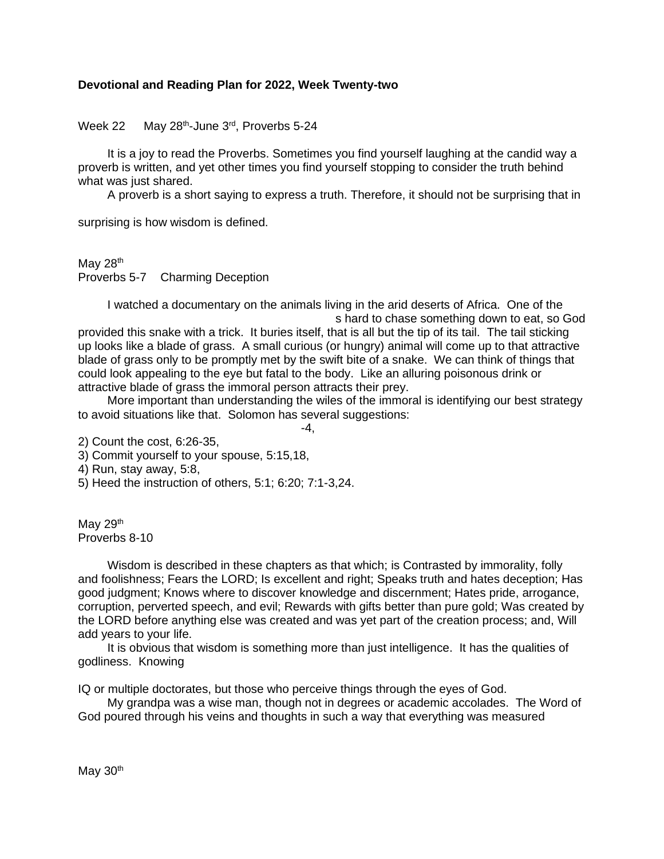## **Devotional and Reading Plan for 2022, Week Twenty-two**

Week 22 -June 3<sup>rd</sup>, Proverbs 5-24

It is a joy to read the Proverbs. Sometimes you find yourself laughing at the candid way a proverb is written, and yet other times you find yourself stopping to consider the truth behind what was just shared.

A proverb is a short saying to express a truth. Therefore, it should not be surprising that in

surprising is how wisdom is defined.

May  $28<sup>th</sup>$ Proverbs 5-7 Charming Deception

> I watched a documentary on the animals living in the arid deserts of Africa. One of the s hard to chase something down to eat, so God

provided this snake with a trick. It buries itself, that is all but the tip of its tail. The tail sticking up looks like a blade of grass. A small curious (or hungry) animal will come up to that attractive blade of grass only to be promptly met by the swift bite of a snake. We can think of things that could look appealing to the eye but fatal to the body. Like an alluring poisonous drink or attractive blade of grass the immoral person attracts their prey.

More important than understanding the wiles of the immoral is identifying our best strategy to avoid situations like that. Solomon has several suggestions:

 $-4,$ 

2) Count the cost, 6:26-35,

3) Commit yourself to your spouse, 5:15,18,

4) Run, stay away, 5:8,

5) Heed the instruction of others, 5:1; 6:20; 7:1-3,24.

May  $29<sup>th</sup>$ Proverbs 8-10

Wisdom is described in these chapters as that which; is Contrasted by immorality, folly and foolishness; Fears the LORD; Is excellent and right; Speaks truth and hates deception; Has good judgment; Knows where to discover knowledge and discernment; Hates pride, arrogance, corruption, perverted speech, and evil; Rewards with gifts better than pure gold; Was created by the LORD before anything else was created and was yet part of the creation process; and, Will add years to your life.

It is obvious that wisdom is something more than just intelligence. It has the qualities of godliness. Knowing

IQ or multiple doctorates, but those who perceive things through the eyes of God.

My grandpa was a wise man, though not in degrees or academic accolades. The Word of God poured through his veins and thoughts in such a way that everything was measured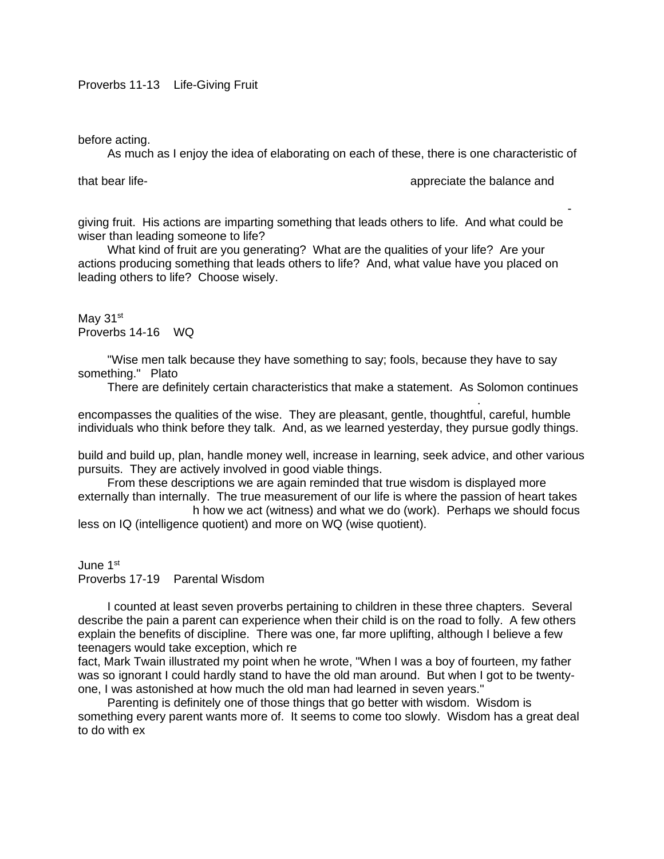before acting.

As much as I enjoy the idea of elaborating on each of these, there is one characteristic of

that bear life-<br>giving fruit, and those who save life are wise. Those who save life are wise. The appreciate the balance and

righteous is a tree of life, and he who wins souls is wise." A wise, godly man is producing lifegiving fruit. His actions are imparting something that leads others to life. And what could be wiser than leading someone to life?

What kind of fruit are you generating? What are the qualities of your life? Are your actions producing something that leads others to life? And, what value have you placed on leading others to life? Choose wisely.

May 31<sup>st</sup> Proverbs 14-16 WQ

"Wise men talk because they have something to say; fools, because they have to say something." Plato

to describe the wise there are two words that stand out; "witness" and "work. "Witness"

There are definitely certain characteristics that make a statement. As Solomon continues

encompasses the qualities of the wise. They are pleasant, gentle, thoughtful, careful, humble individuals who think before they talk. And, as we learned yesterday, they pursue godly things.

build and build up, plan, handle money well, increase in learning, seek advice, and other various pursuits. They are actively involved in good viable things.

From these descriptions we are again reminded that true wisdom is displayed more externally than internally. The true measurement of our life is where the passion of heart takes h how we act (witness) and what we do (work). Perhaps we should focus

less on IQ (intelligence quotient) and more on WQ (wise quotient).

June 1st Proverbs 17-19 Parental Wisdom

I counted at least seven proverbs pertaining to children in these three chapters. Several describe the pain a parent can experience when their child is on the road to folly. A few others explain the benefits of discipline. There was one, far more uplifting, although I believe a few teenagers would take exception, which read

fact, Mark Twain illustrated my point when he wrote, "When I was a boy of fourteen, my father was so ignorant I could hardly stand to have the old man around. But when I got to be twentyone, I was astonished at how much the old man had learned in seven years."

Parenting is definitely one of those things that go better with wisdom. Wisdom is something every parent wants more of. It seems to come too slowly. Wisdom has a great deal to do with ex-